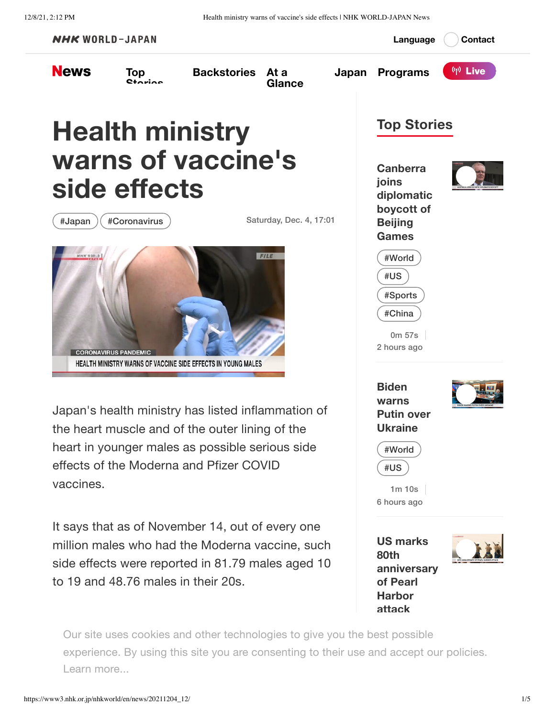12/8/21, 2:12 PM Health ministry warns of vaccine's side effects | NHK WORLD-JAPAN News